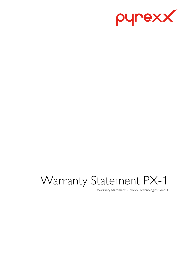

# Warranty Statement PX-1

Warranty Statement - Pyrexx Technologies GmbH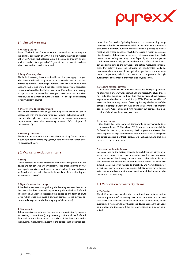

# § 1 Limited warranty

#### *1. Warranty Validity*

Pyrexx Technologies GmbH warrants a defect-free device only for the original purchaser of a PX-1 Smoke Alarm, that was purchased either at Pyrexx Technologies GmbH directly, or through an authorized reseller, for a period of 12 years from the date of purchase, when used and serviced as intended.

#### *2. Proof of warranty claim*

The limited warranty is not transferable and does not apply to buyers who have purchased the product from a reseller who is not authorized by Pyrexx Technologies GmbH. This also applies to online auctions, but is not limited thereto. Rights arising from legislation remain unaffected by the limited warranty. Please keep your receipt as a proof that the device has been purchased from an authorized reseller, and as a proof of purchase date. This receipt is mandatory for any warranty claims!

#### *3. Use according to operating manual*

The limited warranty will be granted only if the device is used in accordance with the operating manual. Pyrexx Technologies GmbH reserves the right to request a proof of the annual maintenance requirements (see also operating manual PX-1 chapter 8 "Maintenance").

#### *4. Warranty Limitations*

The limited warranty does not cover claims resulting from accidents, misuse, application errors, negligence, or the warranty exclusion criteria described below.

## § 2 Warranty exclusion criteria

#### *1. Soiling*

Dust deposits and insect infestation in the measuring system of the device are not covered under warranty. Also smoke alarms or warning signals associated with such forms of soiling do not indicate a malfunction of the device, but only show a lack of care, cleaning and maintenance thereof.

#### *2. Physical / mechanical damage*

If the device has been damaged, e.g. the housing has been broken or the device has been opened, any warranty claim shall be forfeited. The same shall apply to subjecting the device to any form of brute force, which does not cause a physical damage to the device, but causes a damage inside the housing (e.g. of electronics).

#### *3. Contamination*

If the device is externally and / or internally contaminated by deposits (excessively contaminated), any warranty claim shall be forfeited. Paint and similar substances on the surface of the device and within the housing / measurement system of the device shall be deemed contamination. Decoration / painting limited to the release testing / stop button (smoke alarm device cover) shall be excluded from a warranty exclusion! In addition, build-up of fire residues (e.g. soot), as well as nicotine and grease deposits, which have caused a readily detectable discolouration of the device, are categorized as contamination, which means the loss of any warranty claims. Especially nicotine and grease condensates do not only gather on the outer surface of the device, but also accumulate on the surfaces of the optical measuring components. Particularly there, the adhesion of condensates leads to premature deterioration of the optical properties of the measurement components, which the device can compensate through autonomous recalibration only within its physical limits.

#### *4. Moisture damage / corrosion*

If the device, and in particular its electronics, are damaged by moisture of any kind, any warranty claim shall be forfeited. Moisture thus is not only the exposure to fluid, but also regular, above-average exposure of the device to humidity (> 70%). Due to the effect of excessive humidity (e.g., steam / roasting fumes), the battery of the device is discharged above average, and the battery life is shortened considerably. Also, liquids and high humidity can damage the electronics of the device by causing corrosion.

#### *5. Thermal damage*

If the device has been exposed temporarily or permanently to a temperature below 0° C or above 70° C, any warranty claim shall be forfeited. In particular, no warranty shall be given for devices that were exposed to high temperatures and fumes in a fire. Damage to the device as a result of frost / cold, as well as heat damage, shall not be covered by the warranty.

#### *6. Excessive load on the battery*

Excessive load on the battery capacity through frequent triggering of alarm tones (more than once a month) may lead to premature consumption of the battery capacity due to the related battery consumption and to the loss of any warranty claims.This shall also extend to any liability in relation to tradability and / or suitability for a particular purpose under any implied liability which nevertheless exists under the law; the after-sales services shall be limited to the duration of this warranty.

## § 3 Verification of warranty claims

#### *1. Verification*

Check if at least one of the afore mentioned warranty exclusion reasons is present before making a warranty claim. Keep in mind also that there are sufficient technical capabilities to determine, when submitting a warranty claim, whether the device has really been used as intended, and therefore if the warranty claim is justified or unjustified.